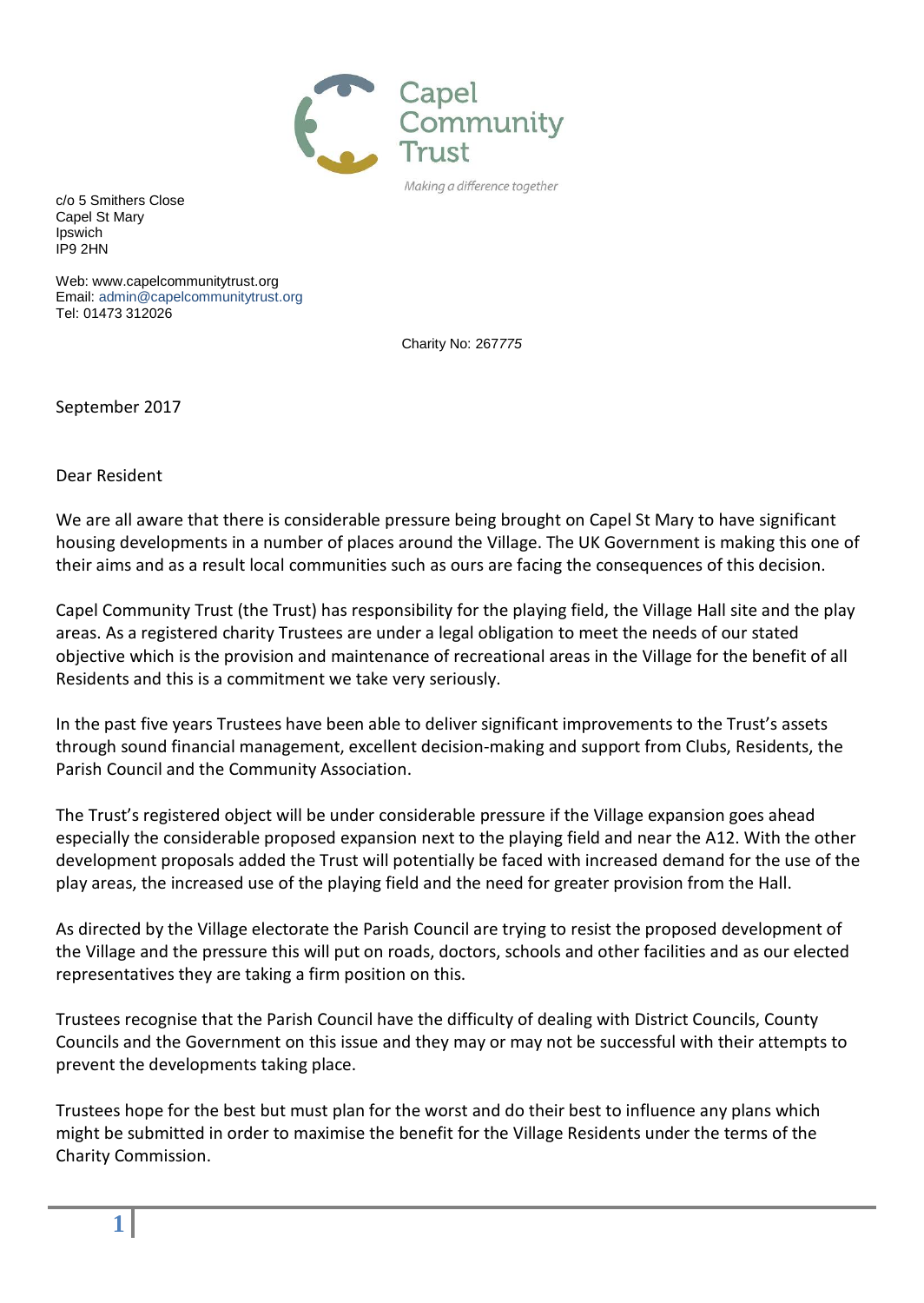

c/o 5 Smithers Close Capel St Mary Ipswich IP9 2HN

Web: www.capelcommunitytrust.org Email: admin[@capelcommunitytrust.](mailto:capelcommunitytrust@tiscali.co.uk)org Tel: 01473 312026

Charity No: 267*775*

September 2017

Dear Resident

We are all aware that there is considerable pressure being brought on Capel St Mary to have significant housing developments in a number of places around the Village. The UK Government is making this one of their aims and as a result local communities such as ours are facing the consequences of this decision.

Capel Community Trust (the Trust) has responsibility for the playing field, the Village Hall site and the play areas. As a registered charity Trustees are under a legal obligation to meet the needs of our stated objective which is the provision and maintenance of recreational areas in the Village for the benefit of all Residents and this is a commitment we take very seriously.

In the past five years Trustees have been able to deliver significant improvements to the Trust's assets through sound financial management, excellent decision-making and support from Clubs, Residents, the Parish Council and the Community Association.

The Trust's registered object will be under considerable pressure if the Village expansion goes ahead especially the considerable proposed expansion next to the playing field and near the A12. With the other development proposals added the Trust will potentially be faced with increased demand for the use of the play areas, the increased use of the playing field and the need for greater provision from the Hall.

As directed by the Village electorate the Parish Council are trying to resist the proposed development of the Village and the pressure this will put on roads, doctors, schools and other facilities and as our elected representatives they are taking a firm position on this.

Trustees recognise that the Parish Council have the difficulty of dealing with District Councils, County Councils and the Government on this issue and they may or may not be successful with their attempts to prevent the developments taking place.

Trustees hope for the best but must plan for the worst and do their best to influence any plans which might be submitted in order to maximise the benefit for the Village Residents under the terms of the Charity Commission.